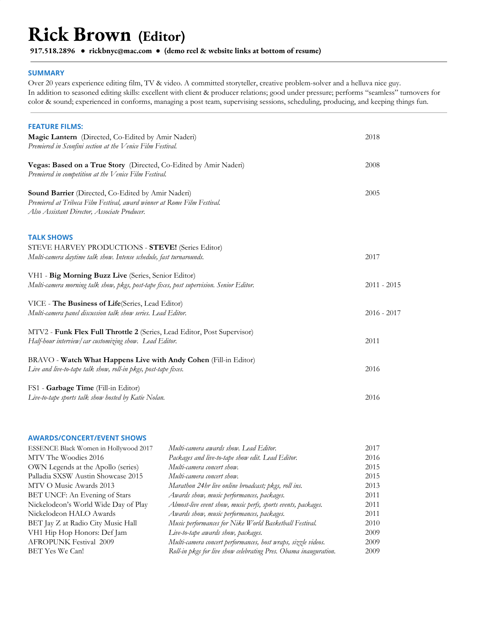# **Rick Brown (Editor)**

**917.518.2896 ● [rickbnyc@mac.com](mailto:rickbnyc@mac.com) ● (demo reel & website links at bottom of resume[\)](http://www.rikpix.com/)**

# **SUMMARY**

Over 20 years experience editing film, TV & video. A committed storyteller, creative problem-solver and a helluva nice guy. In addition to seasoned editing skills: excellent with client & producer relations; good under pressure; performs "seamless" turnovers for color & sound; experienced in conforms, managing a post team, supervising sessions, scheduling, producing, and keeping things fun.

| <b>FEATURE FILMS:</b>                                                                                                                                                         |               |
|-------------------------------------------------------------------------------------------------------------------------------------------------------------------------------|---------------|
| Magic Lantern (Directed, Co-Edited by Amir Naderi)<br>Premiered in Sconfini section at the Venice Film Festival.                                                              | 2018          |
| Vegas: Based on a True Story (Directed, Co-Edited by Amir Naderi)<br>Premiered in competition at the Venice Film Festival.                                                    | 2008          |
| Sound Barrier (Directed, Co-Edited by Amir Naderi)<br>Premiered at Tribeca Film Festival, award winner at Rome Film Festival.<br>Also Assistant Director, Associate Producer. | 2005          |
| <b>TALK SHOWS</b>                                                                                                                                                             |               |
| STEVE HARVEY PRODUCTIONS - STEVE! (Series Editor)<br>Multi-camera daytime talk show. Intense schedule, fast turnarounds.                                                      | 2017          |
| VH1 - Big Morning Buzz Live (Series, Senior Editor)<br>Multi-camera morning talk show, pkgs, post-tape fixes, post supervision. Senior Editor.                                | $2011 - 2015$ |
| VICE - The Business of Life(Series, Lead Editor)<br>Multi-camera panel discussion talk show series. Lead Editor.                                                              | $2016 - 2017$ |
| MTV2 - Funk Flex Full Throttle 2 (Series, Lead Editor, Post Supervisor)<br>Half-hour interview/car customizing show. Lead Editor.                                             | 2011          |
| BRAVO - Watch What Happens Live with Andy Cohen (Fill-in Editor)<br>Live and live-to-tape talk show, roll-in pkgs, post-tape fixes.                                           | 2016          |
| FS1 - Garbage Time (Fill-in Editor)<br>Live-to-tape sports talk show hosted by Katie Nolan.                                                                                   | 2016          |

## **AWARDS/CONCERT/EVENT SHOWS**

| ESSENCE Black Women in Hollywood 2017 | Multi-camera awards show. Lead Editor.                           | 2017 |
|---------------------------------------|------------------------------------------------------------------|------|
| MTV The Woodies 2016                  | Packages and live-to-tape show edit. Lead Editor.                | 2016 |
| OWN Legends at the Apollo (series)    | Multi-camera concert show.                                       | 2015 |
| Palladia SXSW Austin Showcase 2015    | Multi-camera concert show.                                       | 2015 |
| MTV O Music Awards 2013               | Marathon 24hr live online broadcast; pkgs, roll ins.             | 2013 |
| BET UNCF: An Evening of Stars         | Awards show, music performances, packages.                       | 2011 |
| Nickelodeon's World Wide Day of Play  | Almost-live event show, music perfs, sports events, packages.    | 2011 |
| Nickelodeon HALO Awards               | Awards show, music performances, packages.                       | 2011 |
| BET Jay Z at Radio City Music Hall    | Music performances for Nike World Basketball Festival.           | 2010 |
| VH1 Hip Hop Honors: Def Jam           | Live-to-tape awards show, packages.                              | 2009 |
| <b>AFROPUNK Festival 2009</b>         | Multi-camera concert performances, host wraps, sizzle videos.    | 2009 |
| BET Yes We Can!                       | Roll-in pkgs for live show celebrating Pres. Obama inauguration. | 2009 |
|                                       |                                                                  |      |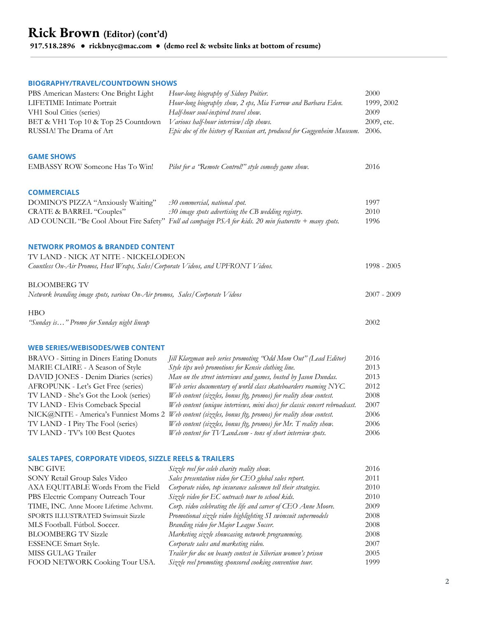# **BIOGRAPHY/TRAVEL/COUNTDOWN SHOWS**

| PBS American Masters: One Bright Light<br>LIFETIME Intimate Portrait                        | Hour-long biography of Sidney Poitier.<br>Hour-long biography show, 2 eps, Mia Farrow and Barbara Eden.  | 2000<br>1999, 2002 |
|---------------------------------------------------------------------------------------------|----------------------------------------------------------------------------------------------------------|--------------------|
| VH1 Soul Cities (series)                                                                    | Half-hour soul-inspired travel show.                                                                     | 2009               |
| BET & VH1 Top 10 & Top 25 Countdown                                                         | Various half-hour interview/clip shows.                                                                  | 2009, etc.         |
| RUSSIA! The Drama of Art                                                                    | Epic doc of the history of Russian art, produced for Guggenheim Museum.                                  | 2006.              |
| <b>GAME SHOWS</b>                                                                           |                                                                                                          |                    |
| EMBASSY ROW Someone Has To Win!                                                             | Pilot for a "Remote Control!" style comedy game show.                                                    | 2016               |
| <b>COMMERCIALS</b>                                                                          |                                                                                                          |                    |
| DOMINO'S PIZZA "Anxiously Waiting"                                                          | :30 commercial, national spot.                                                                           | 1997               |
| CRATE & BARREL "Couples"                                                                    | :30 image spots advertising the CB wedding registry.                                                     | 2010               |
|                                                                                             | AD COUNCIL "Be Cool About Fire Safety" Full ad campaign PSA for kids. 20 min featurette + many spots.    | 1996               |
| <b>NETWORK PROMOS &amp; BRANDED CONTENT</b>                                                 |                                                                                                          |                    |
| TV LAND - NICK AT NITE - NICKELODEON                                                        |                                                                                                          |                    |
| Countless On-Air Promos, Host Wraps, Sales/Corporate Videos, and UPFRONT Videos.            |                                                                                                          | $1998 - 2005$      |
| BLOOMBERG TV<br>Network branding image spots, various On-Air promos, Sales/Corporate Videos |                                                                                                          | $2007 - 2009$      |
| HBO                                                                                         |                                                                                                          |                    |
| "Sunday is" Promo for Sunday night lineup                                                   |                                                                                                          | 2002               |
| WEB SERIES/WEBISODES/WEB CONTENT                                                            |                                                                                                          |                    |
| <b>BRAVO</b> - Sitting in Diners Eating Donuts                                              | Jill Klargman web series promoting "Odd Mom Out" (Lead Editor)                                           | 2016               |
| MARIE CLAIRE - A Season of Style                                                            | Style tips web promotions for Kensie clothing line.                                                      | 2013               |
| DAVID JONES - Denim Diaries (series)                                                        | Man on the street interviews and games, hosted by Jason Dundas.                                          | 2013               |
| AFROPUNK - Let's Get Free (series)                                                          | Web series documentary of world class skateboarders roaming NYC.                                         | 2012               |
| TV LAND - She's Got the Look (series)                                                       | Web content (sizzles, bonus ftg, promos) for reality show contest.                                       | 2008               |
| TV LAND - Elvis Comeback Special                                                            | Web content (unique interviews, mini docs) for classic concert rebroadcast.                              | 2007               |
|                                                                                             | NICK@NITE - America's Funniest Moms 2 Web content (sizzles, bonus fig, promos) for reality show contest. | 2006               |
| TV LAND - I Pity The Fool (series)                                                          | Web content (sizzles, bonus ftg, promos) for Mr. T reality show.                                         | 2006               |
| TV LAND - TV's 100 Best Quotes                                                              | Web content for TV Land.com - tons of short interview spots.                                             | 2006               |
| SALES TAPES, CORPORATE VIDEOS, SIZZLE REELS & TRAILERS                                      |                                                                                                          |                    |
| NBC GIVE                                                                                    | Sizzle reel for celeb charity reality show.                                                              | 2016               |
| SONY Retail Group Sales Video                                                               | Sales presentation video for CEO global sales report.                                                    | 2011               |
| AXA EQUITABLE Words From the Field                                                          | Corporate video, top insurance salesmen tell their strategies.                                           | 2010               |
| PBS Electric Company Outreach Tour                                                          | Sizzle video for EC outreach tour to school kids.                                                        | 2010               |
| TIME, INC. Anne Moore Lifetime Achymt.                                                      | Corp. video celebrating the life and career of CEO Anne Moore.                                           | 2009               |
| SPORTS ILLUSTRATED Swimsuit Sizzle                                                          | Promotional sizzle video highlighting SI swimsuit supermodels                                            | 2008               |
| MLS Football. Fútbol. Soccer.                                                               | Branding video for Major League Soccer.                                                                  | 2008               |
| <b>BLOOMBERG TV Sizzle</b>                                                                  | Marketing sizzle showcasing network programming.                                                         | 2008               |
| ESSENCE Smart Style.                                                                        | Corporate sales and marketing video.                                                                     | 2007               |
| MISS GULAG Trailer                                                                          | Trailer for doc on beauty contest in Siberian women's prison                                             | 2005               |

FOOD NETWORK Cooking Tour USA. *Sizzle reel promoting sponsored cooking convention tour.* 1999